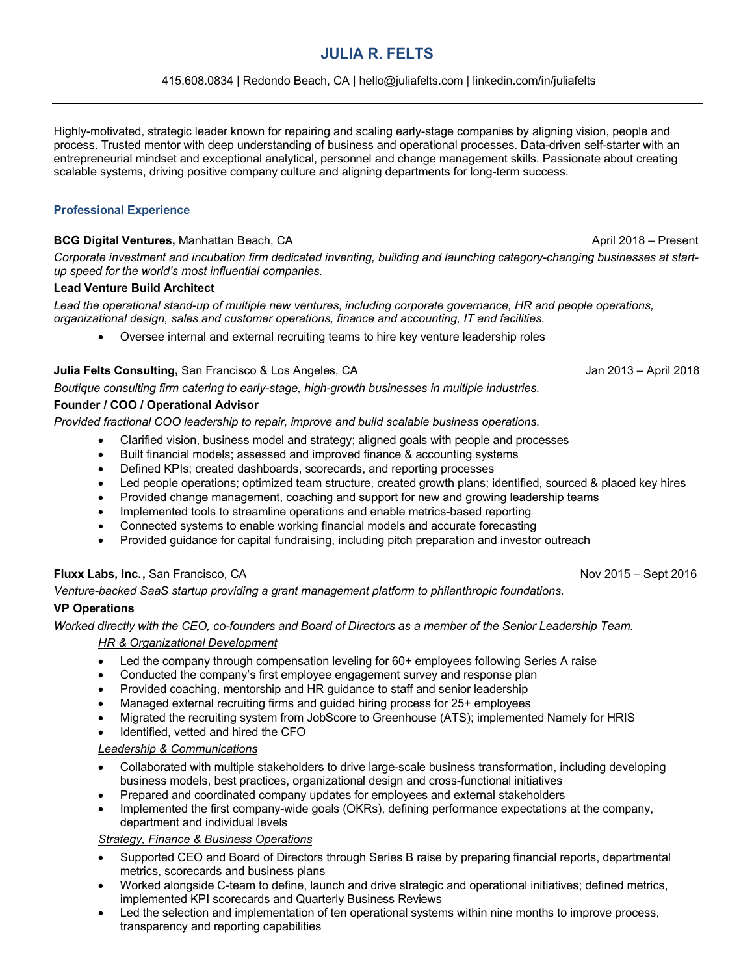# **JULIA R. FELTS**

### 415.608.0834 | Redondo Beach, CA | hello@juliafelts.com | linkedin.com/in/juliafelts

Highly-motivated, strategic leader known for repairing and scaling early-stage companies by aligning vision, people and process. Trusted mentor with deep understanding of business and operational processes. Data-driven self-starter with an entrepreneurial mindset and exceptional analytical, personnel and change management skills. Passionate about creating scalable systems, driving positive company culture and aligning departments for long-term success.

### **Professional Experience**

### **BCG Digital Ventures,** Manhattan Beach, CA **April 2018** – Present

*Corporate investment and incubation firm dedicated inventing, building and launching category-changing businesses at startup speed for the world's most influential companies.*

### **Lead Venture Build Architect**

*Lead the operational stand-up of multiple new ventures, including corporate governance, HR and people operations, organizational design, sales and customer operations, finance and accounting, IT and facilities.*

• Oversee internal and external recruiting teams to hire key venture leadership roles

### **Julia Felts Consulting,** San Francisco & Los Angeles, CAJan 2013 – April 2018

*Boutique consulting firm catering to early-stage, high-growth businesses in multiple industries.*

# **Founder / COO / Operational Advisor**

*Provided fractional COO leadership to repair, improve and build scalable business operations.*

- Clarified vision, business model and strategy; aligned goals with people and processes
- Built financial models; assessed and improved finance & accounting systems
- Defined KPIs; created dashboards, scorecards, and reporting processes
- Led people operations; optimized team structure, created growth plans; identified, sourced & placed key hires
- Provided change management, coaching and support for new and growing leadership teams
- Implemented tools to streamline operations and enable metrics-based reporting
- Connected systems to enable working financial models and accurate forecasting
- Provided guidance for capital fundraising, including pitch preparation and investor outreach

# **Fluxx Labs, Inc., San Francisco, CA** Nov 2015 – Sept 2016

*Venture-backed SaaS startup providing a grant management platform to philanthropic foundations.*

# **VP Operations**

*Worked directly with the CEO, co-founders and Board of Directors as a member of the Senior Leadership Team.*

# *HR & Organizational Development*

- Led the company through compensation leveling for 60+ employees following Series A raise
- Conducted the company's first employee engagement survey and response plan
- Provided coaching, mentorship and HR guidance to staff and senior leadership
- Managed external recruiting firms and guided hiring process for 25+ employees
- Migrated the recruiting system from JobScore to Greenhouse (ATS); implemented Namely for HRIS
- Identified, vetted and hired the CFO

### *Leadership & Communications*

- Collaborated with multiple stakeholders to drive large-scale business transformation, including developing business models, best practices, organizational design and cross-functional initiatives
- Prepared and coordinated company updates for employees and external stakeholders
- Implemented the first company-wide goals (OKRs), defining performance expectations at the company, department and individual levels

# *Strategy, Finance & Business Operations*

- Supported CEO and Board of Directors through Series B raise by preparing financial reports, departmental metrics, scorecards and business plans
- Worked alongside C-team to define, launch and drive strategic and operational initiatives; defined metrics, implemented KPI scorecards and Quarterly Business Reviews
- Led the selection and implementation of ten operational systems within nine months to improve process, transparency and reporting capabilities